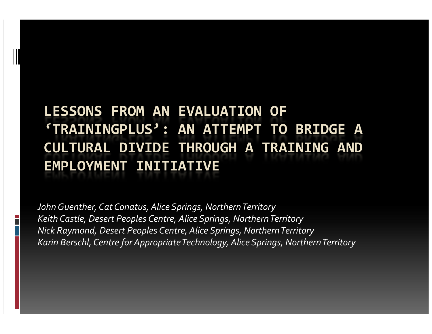### LESSONS FROM AN EVALUATION OF 'TRAININGPLUS': AN ATTEMPT TO BRIDGE A CULTURAL DIVIDE THROUGH A TRAINING AND EMPLOYMENT INITIATIVE

John Guenther, Cat Conatus, Alice Springs, Northern Territory Keith Castle, Desert Peoples Centre, Alice Springs, Northern Territory Nick Raymond, Desert Peoples Centre, Alice Springs, Northern TerritoryKarin Berschl, Centre for Appropriate Technology, Alice Springs, Northern Territory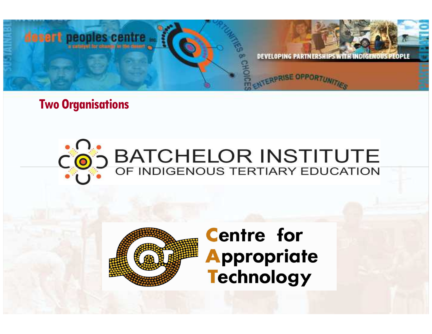

Two Organisations





## **Centre for Appropriate Technology**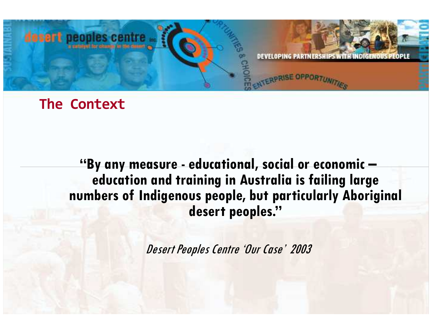

#### The Context

"By any measure - educational, social or economic – education and training in Australia is failing large numbers of Indigenous people, but particularly Aboriginal desert peoples."

Desert Peoples Centre 'Our Case' 2003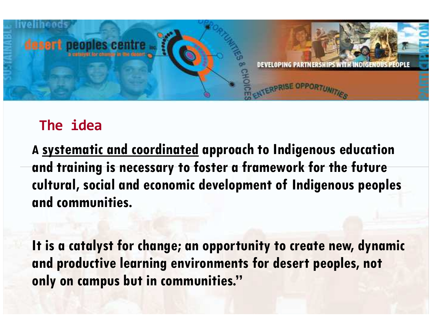

#### The idea

A <u>systematic and coordinated</u> approach to Indigenous education and training is necessary to foster a framework for the future cultural, social and economic development of Indigenous peoples and communities.

It is a catalyst for change; an opportunity to create new, dynamic and productive learning environments for desert peoples, not only on campus but in communities."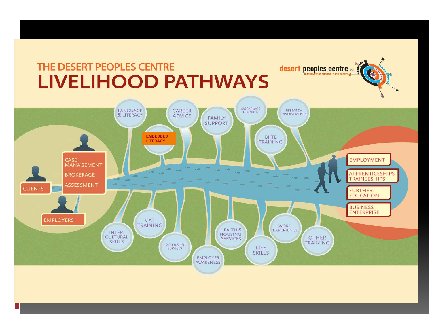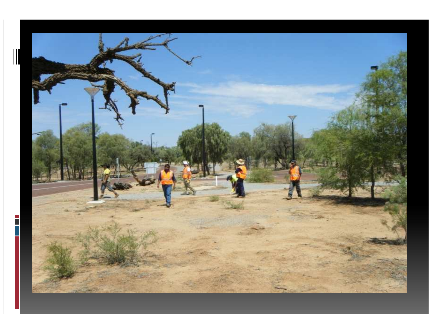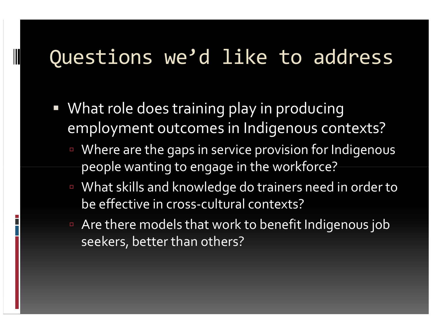# Questions we'd like to address

- What role does training play in producing employment outcomes in Indigenous contexts?
	- □ Where are the gaps in service provision for Indigenous people wanting to engage in the workforce?
	- - What skills and knowledge do trainers need in order to be effective in cross-cultural contexts?
	- $\overline{\phantom{\bullet}}$  Are there models that work to benefit Indigenous job seekers, better than others?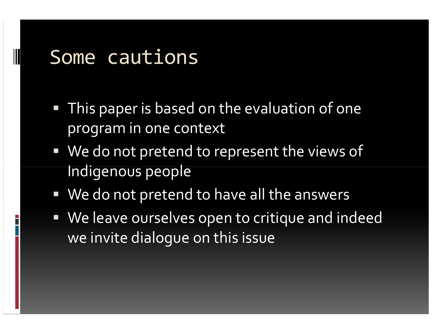### Some cautions

- This paper is based on the evaluation of one program in one context
- We do not pretend to represent the views of Indigenous people
- We do not pretend to have all the answers
- We leave ourselves open to critique and indeed we invite dialogue on this issue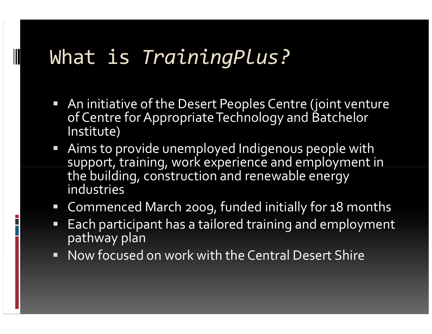## What is TrainingPlus?

- An initiative of the Desert Peoples Centre (joint venture of Centre for Appropriate Technology and BatchelorInstitute)
- Aims to provide unemployed Indigenous people with support, training, work experience and employment in the building, construction and renewable energy industries
- Commenced March 2009, funded initially for 18 months
- $\blacksquare$  Each participant has a tailored training and employment pathway plan
- Now focused on work with the Central Desert Shire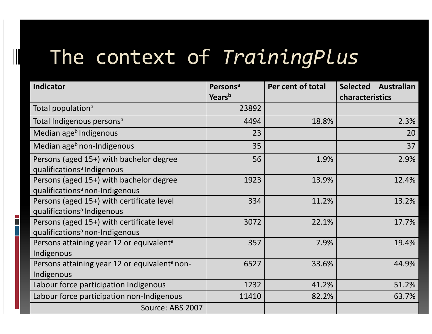# The context of TrainingPlus

İ

| <b>Indicator</b>                                          | <b>Persons</b> <sup>a</sup> | Per cent of total | Selected Australian |
|-----------------------------------------------------------|-----------------------------|-------------------|---------------------|
|                                                           | Years <sup>b</sup>          |                   | characteristics     |
| Total population <sup>a</sup>                             | 23892                       |                   |                     |
| Total Indigenous persons <sup>a</sup>                     | 4494                        | 18.8%             | 2.3%                |
| Median age <sup>b</sup> Indigenous                        | 23                          |                   | 20                  |
| Median age <sup>b</sup> non-Indigenous                    | 35                          |                   | 37                  |
| Persons (aged 15+) with bachelor degree                   | 56                          | 1.9%              | 2.9%                |
| qualifications <sup>a</sup> Indigenous                    |                             |                   |                     |
| Persons (aged 15+) with bachelor degree                   | 1923                        | 13.9%             | 12.4%               |
| qualifications <sup>a</sup> non-Indigenous                |                             |                   |                     |
| Persons (aged 15+) with certificate level                 | 334                         | 11.2%             | 13.2%               |
| qualifications <sup>a</sup> Indigenous                    |                             |                   |                     |
| Persons (aged 15+) with certificate level                 | 3072                        | 22.1%             | 17.7%               |
| qualifications <sup>a</sup> non-Indigenous                |                             |                   |                     |
| Persons attaining year 12 or equivalent <sup>a</sup>      | 357                         | 7.9%              | 19.4%               |
| Indigenous                                                |                             |                   |                     |
| Persons attaining year 12 or equivalent <sup>a</sup> non- | 6527                        | 33.6%             | 44.9%               |
| Indigenous                                                |                             |                   |                     |
| Labour force participation Indigenous                     | 1232                        | 41.2%             | 51.2%               |
| Labour force participation non-Indigenous                 | 11410                       | 82.2%             | 63.7%               |
| Source: ABS 2007                                          |                             |                   |                     |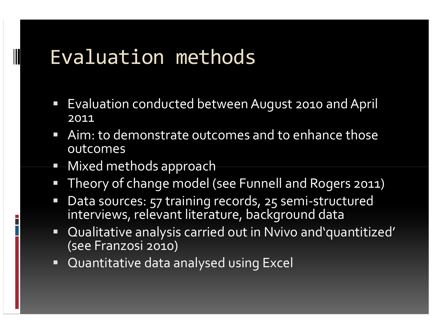## Evaluation methods

- $\mathcal{L}_{\mathcal{A}}$  Evaluation conducted between August 2010 and April 2011
- Aim: to demonstrate outcomes and to enhance those outcomes
- $\Box$ Mixed methods approach
- Theory of change model (see Funnell and Rogers 2011)  $\overline{\phantom{0}}$
- Data sources: 57 training records, 25 semi-structured interviews, relevant literature, background data
- **Qualitative analysis carried out in Nvivo and'quantitized'**  $\blacksquare$ (see Franzosi 2010)
- $\blacksquare$ Quantitative data analysed using Excel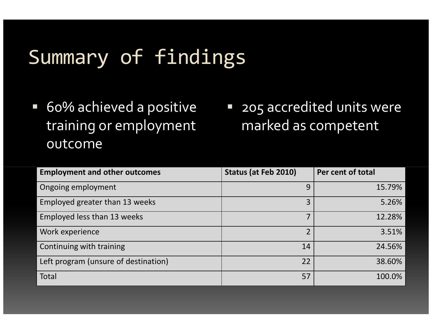# Summary of findings

- $\mathcal{L}_{\mathcal{A}}$  60% achieved a positive training or employment outcome
- **205 accredited units were** marked as competent

| <b>Employment and other outcomes</b> | Status (at Feb 2010)     | Per cent of total |
|--------------------------------------|--------------------------|-------------------|
| Ongoing employment                   | $\mathbf{q}$             | 15.79%            |
| Employed greater than 13 weeks       | 3                        | 5.26%             |
| Employed less than 13 weeks          | $\overline{\phantom{a}}$ | 12.28%            |
| Work experience                      | $\overline{\phantom{a}}$ | 3.51%             |
| Continuing with training             | 14                       | 24.56%            |
| Left program (unsure of destination) | 22                       | 38.60%            |
| Total                                | 57                       | 100.0%            |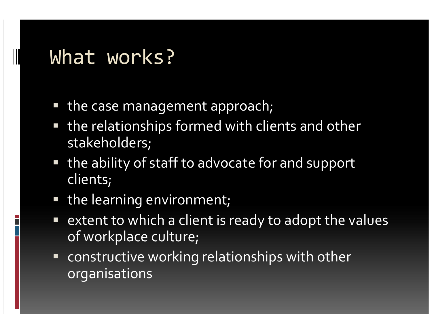## What works?

- the case management approach;
- the relationships formed with clients and other stakeholders;
- the ability of staff to advocate for and support clients;
- $\;\;\bar{}\;$  the learning environment;
- $\blacksquare$  extent to which a client is ready to adopt the values of workplace culture;
- **Example 1** constructive working relationships with other organisations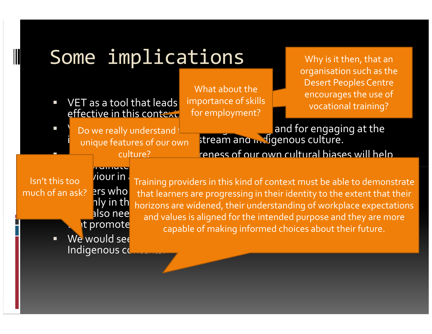## Some implications

- $\overline{\phantom{a}}$ VET as a tool that leads effective in this context.
	- Do we really understand t unique features of our own culture?

What about the importance of skills for employment?

us in ordinately as we are confronted with values and norms of  $\alpha$ 

 $\blacksquare$  Do we really understand is a plane for engaging at the  $i$  unique features of our own stream and  $n$ , digenous culture. reness of our own cultural biases will help vocational training?

Why is it then, that an

organisation such as the

Desert Peoples Centre

encourages the use of

much of an ask?Isn't this too

۰

 $\nu$ iour in a it promote

 Training providers in this kind of context must be able to demonstrate f an ask? ars who that learners are progressing in their identity to the extent that their not only in the horizons are widened, their understanding of workplace expectations also need to and values is aligned for the intended purpose and they are more capable of making informed choices about their future.

 $\blacksquare$ We would see Indigenous co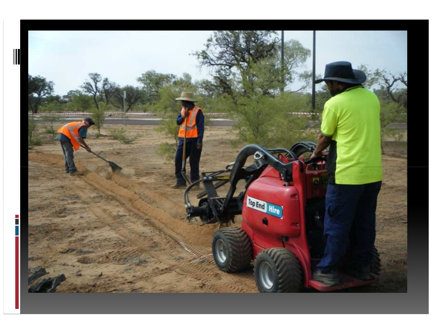